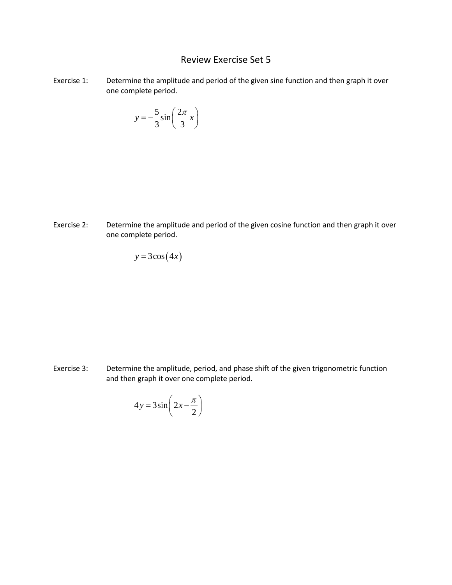## Review Exercise Set 5

Exercise 1: Determine the amplitude and period of the given sine function and then graph it over one complete period.

$$
y = -\frac{5}{3}\sin\left(\frac{2\pi}{3}x\right)
$$

Exercise 2: Determine the amplitude and period of the given cosine function and then graph it over one complete period.

$$
y = 3\cos(4x)
$$

Exercise 3: Determine the amplitude, period, and phase shift of the given trigonometric function and then graph it over one complete period.

$$
4y = 3\sin\left(2x - \frac{\pi}{2}\right)
$$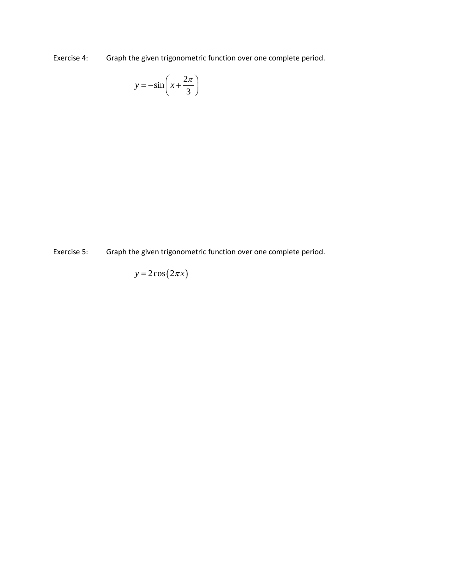Exercise 4: Graph the given trigonometric function over one complete period.

$$
y = -\sin\left(x + \frac{2\pi}{3}\right)
$$

Exercise 5: Graph the given trigonometric function over one complete period.

$$
y=2\cos\bigl(2\pi x\bigr)
$$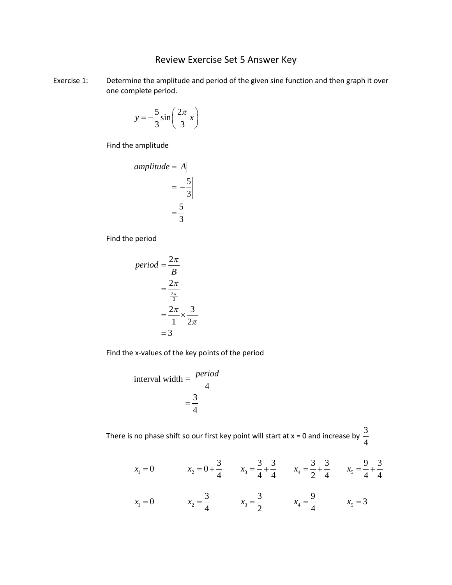## Review Exercise Set 5 Answer Key

Exercise 1: Determine the amplitude and period of the given sine function and then graph it over one complete period.

$$
y = -\frac{5}{3}\sin\left(\frac{2\pi}{3}x\right)
$$

Find the amplitude

amplitude = 
$$
|A|
$$
  
=  $\left|-\frac{5}{3}\right|$   
=  $\frac{5}{3}$ 

Find the period

$$
period = \frac{2\pi}{B}
$$

$$
= \frac{2\pi}{\frac{2\pi}{3}}
$$

$$
= \frac{2\pi}{1} \times \frac{3}{2\pi}
$$

$$
= 3
$$

Find the x-values of the key points of the period

interval width = 
$$
\frac{period}{4}
$$

$$
= \frac{3}{4}
$$

There is no phase shift so our first key point will start at x = 0 and increase by  $\frac{3}{7}$ 4

$$
x_1 = 0
$$
  $x_2 = 0 + \frac{3}{4}$   $x_3 = \frac{3}{4} + \frac{3}{4}$   $x_4 = \frac{3}{2} + \frac{3}{4}$   $x_5 = \frac{9}{4} + \frac{3}{4}$ 

$$
x_1 = 0
$$
  $x_2 = \frac{3}{4}$   $x_3 = \frac{3}{2}$   $x_4 = \frac{9}{4}$   $x_5 = 3$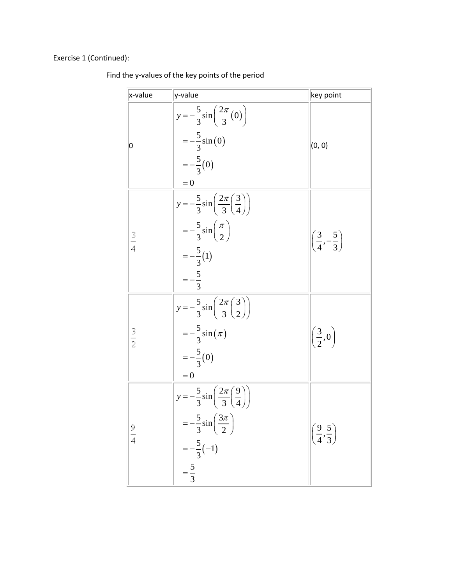Exercise 1 (Continued):

| x-value       | y-value                                                                                                                                                                 | key point                               |
|---------------|-------------------------------------------------------------------------------------------------------------------------------------------------------------------------|-----------------------------------------|
| 0             | $y = -\frac{5}{3}\sin\left(\frac{2\pi}{3}(0)\right)$<br>$=-\frac{5}{3}\sin(0)$<br>$=-\frac{5}{3}(0)$<br>$= 0$                                                           | (0, 0)                                  |
| $\frac{3}{4}$ | $y = -\frac{5}{3}\sin\left(\frac{2\pi}{3}\left(\frac{3}{4}\right)\right)$<br>$=-\frac{5}{3}\sin\left(\frac{\pi}{2}\right)$<br>$=-\frac{5}{3}(1)$<br>$=-\frac{5}{3}$     | $\left(\frac{3}{4},-\frac{5}{3}\right)$ |
| $rac{3}{2}$   | $y = -\frac{5}{3}\sin\left(\frac{2\pi}{3}\left(\frac{3}{2}\right)\right)$<br>$=-\frac{5}{3}\sin(\pi)$<br>$=-\frac{5}{3}(0)$<br>$= 0$                                    | $\left(\frac{3}{2},0\right)$            |
| $\frac{9}{4}$ | $y = -\frac{5}{3}\sin\left(\frac{2\pi}{3}\left(\frac{9}{4}\right)\right)$<br>= $-\frac{5}{3}\sin\left(\frac{3\pi}{2}\right)$<br>= $-\frac{5}{3}(-1)$<br>= $\frac{5}{3}$ | $\left(\frac{9}{4},\frac{5}{3}\right)$  |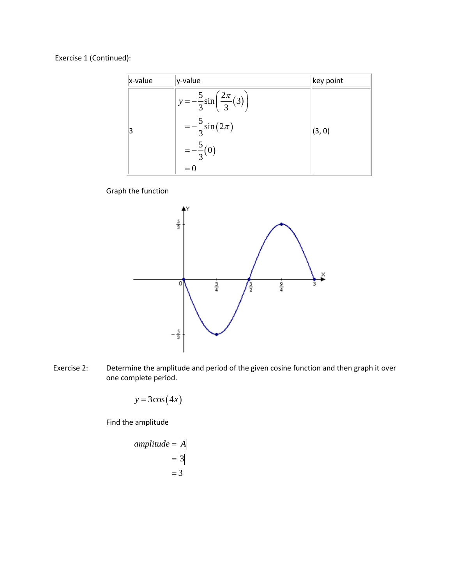Exercise 1 (Continued):

| x-value | y-value                                                                                                          | key point |
|---------|------------------------------------------------------------------------------------------------------------------|-----------|
| 3       | $y = -\frac{5}{3}\sin\left(\frac{2\pi}{3}(3)\right)$<br>$=-\frac{5}{3}\sin(2\pi)$<br>$=-\frac{5}{3}(0)$<br>$= 0$ | (3, 0)    |

Graph the function



Exercise 2: Determine the amplitude and period of the given cosine function and then graph it over one complete period.

$$
y = 3\cos(4x)
$$

Find the amplitude

$$
amplitude = |A = |B|
$$

$$
= |3|
$$

$$
= 3
$$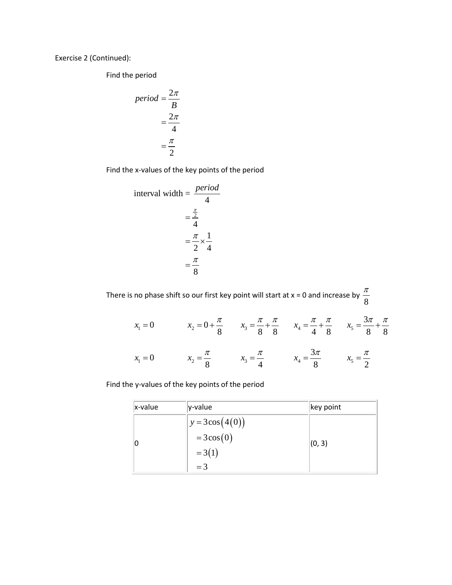Exercise 2 (Continued):

Find the period

$$
period = \frac{2\pi}{B}
$$

$$
= \frac{2\pi}{4}
$$

$$
= \frac{\pi}{2}
$$

Find the x-values of the key points of the period

interval width 
$$
=
$$
  $\frac{period}{4}$   

$$
= \frac{\frac{\pi}{2}}{4}
$$

$$
= \frac{\pi}{2} \times \frac{1}{4}
$$

$$
= \frac{\pi}{8}
$$

There is no phase shift so our first key point will start at x = 0 and increase by  $\frac{\pi}{8}$  $x_1 = 0$   $x_2 = 0 + \frac{\pi}{8}$  $x_2 = 0 + \frac{\pi}{8}$   $x_3 = \frac{\pi}{8} + \frac{\pi}{8}$   $x_4 = \frac{\pi}{4} + \frac{\pi}{8}$   $x_5 = \frac{3}{8}$ 8 8  $x_5 = \frac{3\pi}{8} + \frac{\pi}{8}$  $x_1 = 0$   $x_2 = \frac{\pi}{8}$   $x_3 = \frac{\pi}{4}$   $x_4 = \frac{3}{8}$  $x_4 = \frac{3\pi}{8}$   $x_5 = \frac{\pi}{2}$ 

8

| x-value | y-value                                              | key point |
|---------|------------------------------------------------------|-----------|
|         | $y = 3\cos(4(0))$<br>$=3\cos(0)$<br>$=3(1)$<br>$=$ 3 | (0, 3)    |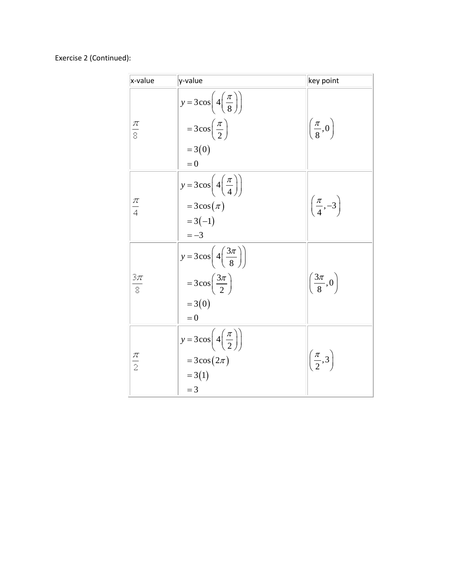## Exercise 2 (Continued):

| x-value          | y-value                                                                                                         | key point                        |
|------------------|-----------------------------------------------------------------------------------------------------------------|----------------------------------|
| $rac{\pi}{8}$    | $y = 3\cos\left(4\left(\frac{\pi}{8}\right)\right)$<br>$=3\cos\left(\frac{\pi}{2}\right)$<br>$=3(0)$<br>$= 0$   | $\left(\frac{\pi}{8},0\right)$   |
| $\frac{\pi}{4}$  | $y = 3\cos\left(4\left(\frac{\pi}{4}\right)\right)$<br>$=3\cos(\pi)$<br>$=3(-1)$<br>$=-3$                       | $\left(\frac{\pi}{4}, -3\right)$ |
| $\frac{3\pi}{8}$ | $y = 3\cos\left(4\left(\frac{3\pi}{8}\right)\right)$<br>$=3\cos\left(\frac{3\pi}{2}\right)$<br>$=3(0)$<br>$= 0$ | $\left(\frac{3\pi}{8},0\right)$  |
| $\frac{\pi}{2}$  | $y = 3\cos\left(4\left(\frac{\pi}{2}\right)\right)$<br>$=3\cos(2\pi)$<br>$= 3(1)$<br>$=$ 3                      | $\left(\frac{\pi}{2},3\right)$   |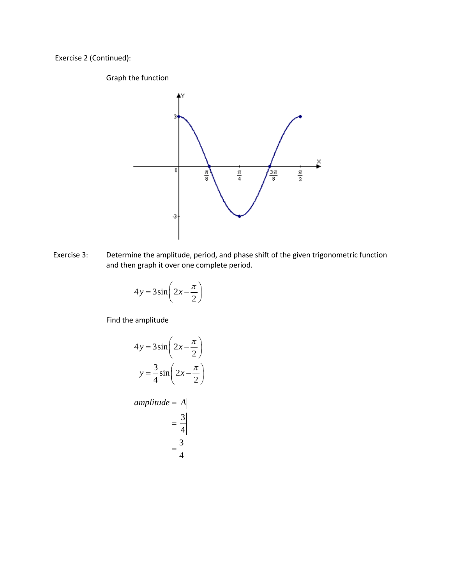Exercise 2 (Continued):

Graph the function



Exercise 3: Determine the amplitude, period, and phase shift of the given trigonometric function and then graph it over one complete period.

$$
4y = 3\sin\left(2x - \frac{\pi}{2}\right)
$$

Find the amplitude

$$
4y = 3\sin\left(2x - \frac{\pi}{2}\right)
$$

$$
y = \frac{3}{4}\sin\left(2x - \frac{\pi}{2}\right)
$$

$$
amplitude = |A|
$$

$$
= \left|\frac{3}{4}\right|
$$

$$
3
$$

4

=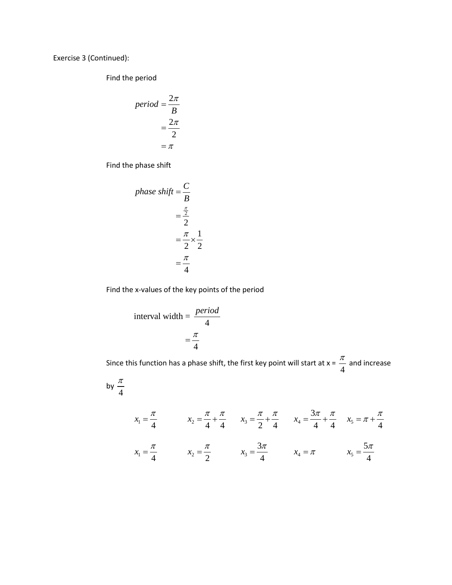Exercise 3 (Continued):

Find the period

$$
period = \frac{2\pi}{B}
$$

$$
= \frac{2\pi}{2}
$$

$$
= \pi
$$

Find the phase shift

$$
phase shift = \frac{C}{B}
$$

$$
= \frac{\frac{\pi}{2}}{2}
$$

$$
= \frac{\pi}{2} \times \frac{1}{2}
$$

$$
= \frac{\pi}{4}
$$

Find the x-values of the key points of the period

interval width = 
$$
\frac{period}{4}
$$

$$
= \frac{\pi}{4}
$$

Since this function has a phase shift, the first key point will start at  $x = \frac{\pi}{4}$  and increase

$$
\text{by } \frac{\pi}{4}
$$

$$
x_1 = \frac{\pi}{4}
$$
  $x_2 = \frac{\pi}{4} + \frac{\pi}{4}$   $x_3 = \frac{\pi}{2} + \frac{\pi}{4}$   $x_4 = \frac{3\pi}{4} + \frac{\pi}{4}$   $x_5 = \pi + \frac{\pi}{4}$   
 $x_1 = \frac{\pi}{4}$   $x_2 = \frac{\pi}{2}$   $x_3 = \frac{3\pi}{4}$   $x_4 = \pi$   $x_5 = \frac{5\pi}{4}$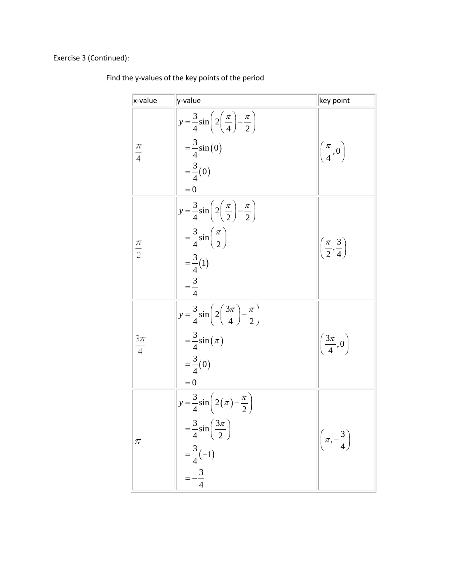Exercise 3 (Continued):

| x-value                            | y-value                                                                                                                                                                     | key point                                |
|------------------------------------|-----------------------------------------------------------------------------------------------------------------------------------------------------------------------------|------------------------------------------|
| $\frac{\pi}{4}$                    | $y = \frac{3}{4} \sin \left( 2 \left( \frac{\pi}{4} \right) - \frac{\pi}{2} \right)$<br>$=\frac{3}{4}sin(0)$<br>$=\frac{3}{4}(0)$<br>$= 0$                                  | $\left(\frac{\pi}{4},0\right)$           |
| $\frac{\pi}{2}$                    | $y = \frac{3}{4} \sin \left( 2 \left( \frac{\pi}{2} \right) - \frac{\pi}{2} \right)$<br>$=\frac{3}{4}\sin\left(\frac{\pi}{2}\right)$<br>$=\frac{3}{4}(1)$<br>$=\frac{3}{4}$ | $\left(\frac{\pi}{2},\frac{3}{4}\right)$ |
| $\frac{3\pi}{4}$<br>$\overline{4}$ | $y = \frac{3}{4} \sin \left( 2 \left( \frac{3\pi}{4} \right) - \frac{\pi}{2} \right)$<br>$=\frac{3}{4}\sin(\pi)$<br>$=\frac{3}{4}(0)$<br>$= 0$                              | $\left(\frac{3\pi}{4},0\right)$          |
| π                                  | $y = \frac{3}{4} \sin \left( 2\left(\pi\right) - \frac{\pi}{2} \right)$<br>$=\frac{3}{4}\sin\left(\frac{3\pi}{2}\right)$<br>$=\frac{3}{4}(-1)$<br>= $-\frac{3}{4}$          | $\left(\pi, -\frac{3}{4}\right)$         |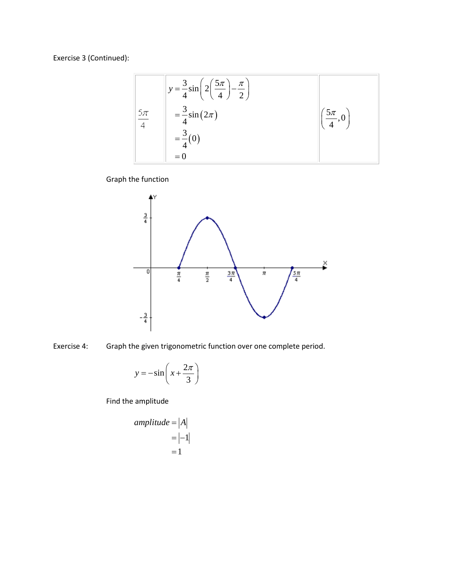Exercise 3 (Continued):

$$
y = \frac{3}{4} \sin\left(2\left(\frac{5\pi}{4}\right) - \frac{\pi}{2}\right)
$$
  

$$
= \frac{3}{4} \sin\left(2\pi\right)
$$
  

$$
= \frac{3}{4}(0)
$$
  

$$
= 0
$$
  

$$
y = \frac{3}{4} \sin\left(2\pi\right)
$$
  

$$
= 0
$$

Graph the function



Exercise 4: Graph the given trigonometric function over one complete period.

$$
y = -\sin\left(x + \frac{2\pi}{3}\right)
$$

Find the amplitude

$$
amplitude = |A|
$$

$$
= |-1|
$$

$$
= 1
$$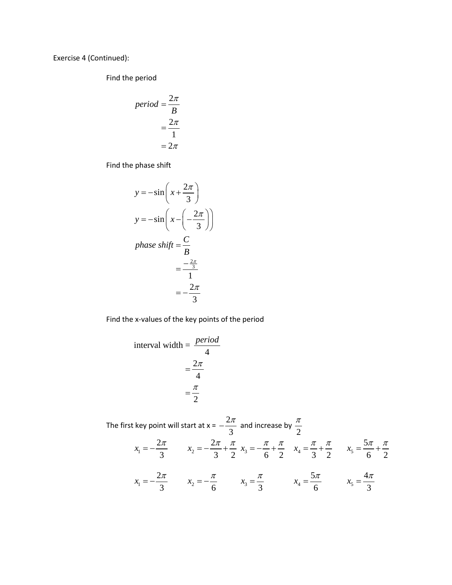Exercise 4 (Continued):

Find the period

$$
period = \frac{2\pi}{B}
$$

$$
= \frac{2\pi}{1}
$$

$$
= 2\pi
$$

Find the phase shift

$$
y = -\sin\left(x + \frac{2\pi}{3}\right)
$$
  
\n
$$
y = -\sin\left(x - \left(-\frac{2\pi}{3}\right)\right)
$$
  
\nphase shift =  $\frac{C}{B}$   
\n
$$
= \frac{-\frac{2\pi}{3}}{1}
$$
  
\n
$$
= -\frac{2\pi}{3}
$$

Find the x-values of the key points of the period

interval width = 
$$
\frac{period}{4}
$$

$$
= \frac{2\pi}{4}
$$

$$
= \frac{\pi}{2}
$$

The first key point will start at x =  $-\frac{2}{7}$  $-\frac{2\pi}{3}$  and increase by  $\frac{\pi}{2}$ 1 2 3  $x_1 = -\frac{2\pi}{2}$   $x_2 = -\frac{2\pi}{2}$ 3 2  $x_2 = -\frac{2\pi}{3} + \frac{\pi}{2}$   $x_3 = -\frac{\pi}{6} + \frac{\pi}{2}$   $x_4 = \frac{\pi}{3} + \frac{\pi}{2}$   $x_5 = \frac{5}{6}$ 6 2  $x_5 = \frac{5\pi}{4} + \frac{\pi}{2}$ 1 2 3  $x_1 = -\frac{2\pi}{3}$   $x_2 = -\frac{\pi}{6}$   $x_3 = \frac{\pi}{3}$   $x_4 = \frac{5\pi}{6}$ 6  $x_4 = \frac{5\pi}{6}$   $x_5 = \frac{4}{4}$ 3  $x_5 = \frac{4\pi}{2}$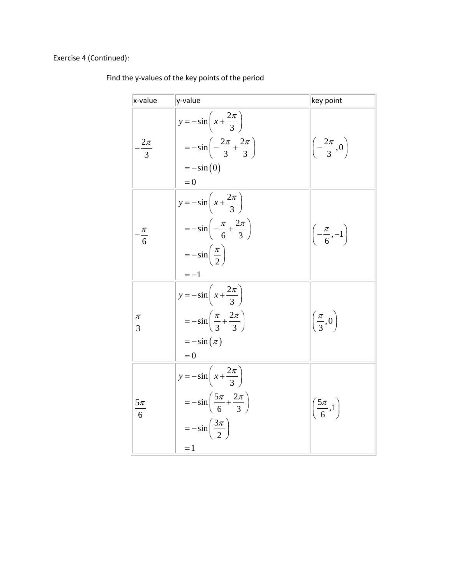Exercise 4 (Continued):

| x-value          | y-value                                                                                                                                         | key point                        |
|------------------|-------------------------------------------------------------------------------------------------------------------------------------------------|----------------------------------|
| $\frac{2\pi}{3}$ | $y = -\sin\left(x + \frac{2\pi}{3}\right)$<br>$=-\sin\left(-\frac{2\pi}{3}+\frac{2\pi}{3}\right)$<br>$=-\sin(0)$<br>$= 0$                       | $\left(-\frac{2\pi}{3},0\right)$ |
| $-\frac{\pi}{6}$ | $y = -\sin\left(x + \frac{2\pi}{3}\right)$<br>$=-\sin\left(-\frac{\pi}{6}+\frac{2\pi}{3}\right)$<br>$=-\sin\left(\frac{\pi}{2}\right)$<br>$=-1$ | $\left(-\frac{\pi}{6},-1\right)$ |
| $\frac{\pi}{3}$  | $y = -\sin\left(x + \frac{2\pi}{3}\right)$<br>$=-\sin\left(\frac{\pi}{3}+\frac{2\pi}{3}\right)$<br>$=-\sin(\pi)$<br>$= 0$                       | $\left(\frac{\pi}{3},0\right)$   |
| $5\pi$<br>6      | $y = -\sin\left(x + \frac{2\pi}{3}\right)$<br>$=-\sin\left(\frac{5\pi}{6}+\frac{2\pi}{3}\right)$<br>$=-\sin\left(\frac{3\pi}{2}\right)$<br>$=1$ | $\left(\frac{5\pi}{6},1\right)$  |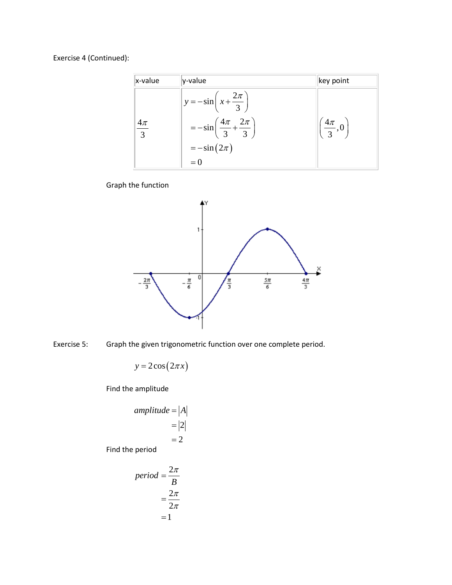Exercise 4 (Continued):

| $x-value$        | y-value                                            | key point                       |
|------------------|----------------------------------------------------|---------------------------------|
|                  | $y = -\sin\left(x + \frac{2\pi}{3}\right)$         |                                 |
| $\frac{4\pi}{3}$ | $=-\sin\left(\frac{4\pi}{3}+\frac{2\pi}{3}\right)$ | $\left(\frac{4\pi}{3},0\right)$ |
|                  | $=-\sin(2\pi)$                                     |                                 |
|                  | $= 0$                                              |                                 |

Graph the function



Exercise 5: Graph the given trigonometric function over one complete period.

$$
y = 2\cos(2\pi x)
$$

Find the amplitude

$$
amplitude = |A|
$$
  
= |2|  
= 2  
Find the period

$$
period = \frac{2\pi}{B}
$$

$$
= \frac{2\pi}{2\pi}
$$

$$
= 1
$$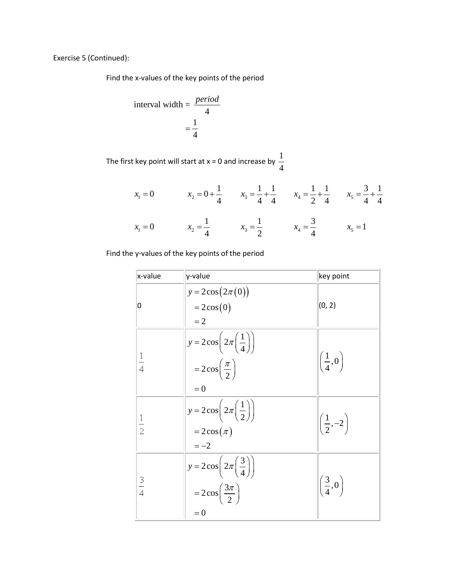Exercise 5 (Continued):

Find the x-values of the key points of the period

interval width = 
$$
\frac{period}{4}
$$

$$
= \frac{1}{4}
$$

The first key point will start at x = 0 and increase by  $\frac{1}{1}$ 4

$$
x_1 = 0
$$
  $x_2 = 0 + \frac{1}{4}$   $x_3 = \frac{1}{4} + \frac{1}{4}$   $x_4 = \frac{1}{2} + \frac{1}{4}$   $x_5 = \frac{3}{4} + \frac{1}{4}$ 

$$
x_1 = 0
$$
  $x_2 = \frac{1}{4}$   $x_3 = \frac{1}{2}$   $x_4 = \frac{3}{4}$   $x_5 = 1$ 

| x-value       | y-value                                                                                              | key point                     |
|---------------|------------------------------------------------------------------------------------------------------|-------------------------------|
| 0             | $y = 2\cos(2\pi(0))$<br>$=2\cos(0)$<br>$=2$                                                          | (0, 2)                        |
| $\frac{1}{4}$ | $y = 2\cos\left(2\pi\left(\frac{1}{4}\right)\right)$<br>$=2\cos\left(\frac{\pi}{2}\right)$<br>$= 0$  | $\left(\frac{1}{4},0\right)$  |
| $\frac{1}{2}$ | $y = 2\cos\left(2\pi\left(\frac{1}{2}\right)\right)$<br>$=2\cos(\pi)$<br>$=-2$                       | $\left(\frac{1}{2},-2\right)$ |
| $\frac{3}{4}$ | $y = 2\cos\left(2\pi\left(\frac{3}{4}\right)\right)$<br>$=2\cos\left(\frac{3\pi}{2}\right)$<br>$= 0$ | $\left(\frac{3}{4},0\right)$  |